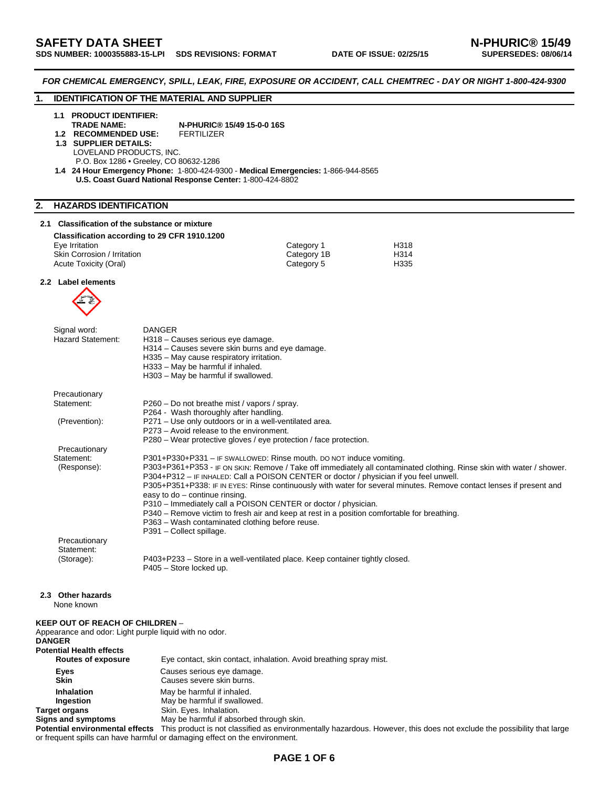*FOR CHEMICAL EMERGENCY, SPILL, LEAK, FIRE, EXPOSURE OR ACCIDENT, CALL CHEMTREC - DAY OR NIGHT 1-800-424-9300* 

# **1. IDENTIFICATION OF THE MATERIAL AND SUPPLIER**

- **1.1 PRODUCT IDENTIFIER: N-PHURIC<sup>®</sup> 15/49 15-0-0 16S**<br>FERTILIZER
- **1.2 RECOMMENDED USE: 1.3 SUPPLIER DETAILS:** 
	-

LOVELAND PRODUCTS, INC.

P.O. Box 1286 • Greeley, CO 80632-1286

 **1.4 24 Hour Emergency Phone:** 1-800-424-9300 - **Medical Emergencies:** 1-866-944-8565 **U.S. Coast Guard National Response Center:** 1-800-424-8802

# **2. HAZARDS IDENTIFICATION**

# **2.1 Classification of the substance or mixture**

|  | Classification according to 29 CFR 1910.1200 |  |
|--|----------------------------------------------|--|
|--|----------------------------------------------|--|

**Ingestion May be harmful if swallowed.<br>
<b>Target organs** Skin. Eyes. Inhalation.

Skin. Eyes. Inhalation.

| Eye Irritation              | Category 1  | H318 |
|-----------------------------|-------------|------|
| Skin Corrosion / Irritation | Category 1B | H314 |
| Acute Toxicity (Oral)       | Category 5  | H335 |

# **2.2 Label elements**



| Signal word:<br><b>Hazard Statement:</b>                                                         | <b>DANGER</b><br>H318 - Causes serious eye damage.<br>H314 - Causes severe skin burns and eye damage.<br>H335 - May cause respiratory irritation.<br>H333 - May be harmful if inhaled.<br>H303 - May be harmful if swallowed. |
|--------------------------------------------------------------------------------------------------|-------------------------------------------------------------------------------------------------------------------------------------------------------------------------------------------------------------------------------|
| Precautionary                                                                                    |                                                                                                                                                                                                                               |
| Statement:                                                                                       | P260 – Do not breathe mist / vapors / spray.                                                                                                                                                                                  |
| (Prevention):                                                                                    | P264 - Wash thoroughly after handling.<br>P271 - Use only outdoors or in a well-ventilated area.                                                                                                                              |
|                                                                                                  | P273 - Avoid release to the environment.                                                                                                                                                                                      |
|                                                                                                  | P280 – Wear protective gloves / eye protection / face protection.                                                                                                                                                             |
| Precautionary                                                                                    |                                                                                                                                                                                                                               |
| Statement:                                                                                       | P301+P330+P331 - IF SWALLOWED: Rinse mouth. DO NOT induce vomiting.                                                                                                                                                           |
| (Response):                                                                                      | P303+P361+P353 - IF ON SKIN: Remove / Take off immediately all contaminated clothing. Rinse skin with water / shower.<br>P304+P312 - IF INHALED: Call a POISON CENTER or doctor / physician if you feel unwell.               |
|                                                                                                  | P305+P351+P338: IF IN EYES: Rinse continuously with water for several minutes. Remove contact lenses if present and                                                                                                           |
|                                                                                                  | easy to do - continue rinsing.                                                                                                                                                                                                |
|                                                                                                  | P310 - Immediately call a POISON CENTER or doctor / physician.                                                                                                                                                                |
|                                                                                                  | P340 – Remove victim to fresh air and keep at rest in a position comfortable for breathing.                                                                                                                                   |
|                                                                                                  | P363 - Wash contaminated clothing before reuse.<br>P391 - Collect spillage.                                                                                                                                                   |
| Precautionary                                                                                    |                                                                                                                                                                                                                               |
| Statement:                                                                                       |                                                                                                                                                                                                                               |
| (Storage):                                                                                       | P403+P233 - Store in a well-ventilated place. Keep container tightly closed.                                                                                                                                                  |
|                                                                                                  | P405 - Store locked up.                                                                                                                                                                                                       |
|                                                                                                  |                                                                                                                                                                                                                               |
| 2.3 Other hazards<br>None known                                                                  |                                                                                                                                                                                                                               |
| <b>KEEP OUT OF REACH OF CHILDREN -</b><br>Appearance and odor: Light purple liquid with no odor. |                                                                                                                                                                                                                               |
| <b>DANGER</b>                                                                                    |                                                                                                                                                                                                                               |
| <b>Potential Health effects</b>                                                                  |                                                                                                                                                                                                                               |
| <b>Routes of exposure</b>                                                                        | Eye contact, skin contact, inhalation. Avoid breathing spray mist.                                                                                                                                                            |
| Eyes<br><b>Skin</b>                                                                              | Causes serious eye damage.<br>Causes severe skin burns.                                                                                                                                                                       |
| <b>Inhalation</b>                                                                                | May be harmful if inhaled.                                                                                                                                                                                                    |
| <b>Ingestion</b>                                                                                 | May be harmful if swallowed.                                                                                                                                                                                                  |

**Signs and symptoms** May be harmful if absorbed through skin. **Potential environmental effects** This product is not classified as environmentally hazardous. However, this does not exclude the possibility that large or frequent spills can have harmful or damaging effect on the environment.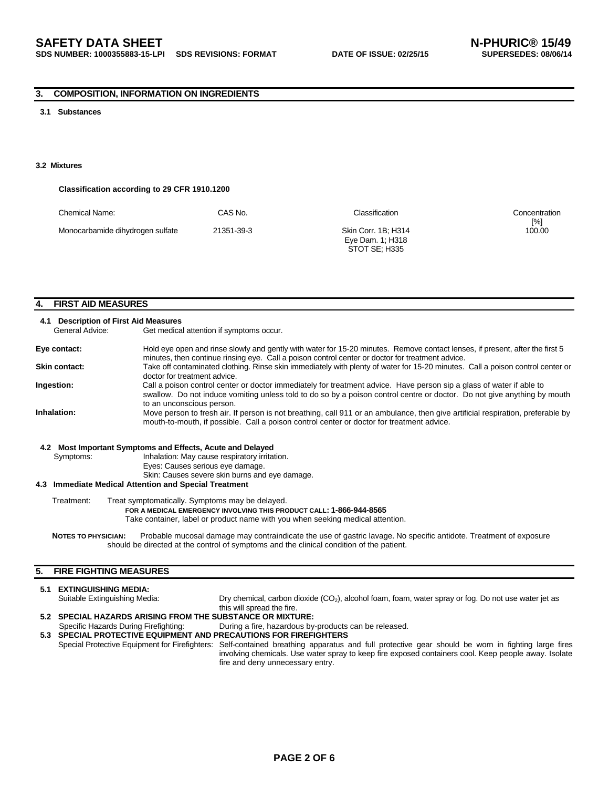| DS NUMBER: 1000355883-15-LPI     SDS REVISIONS: FORM |  |
|------------------------------------------------------|--|
|                                                      |  |

# **3. COMPOSITION, INFORMATION ON INGREDIENTS**

## **3.1 Substances**

# **3.2 Mixtures**

# **Classification according to 29 CFR 1910.1200**

| Chemical Name:                   | CAS No.    | Classification                                           | Concentration<br>$\lceil\% \rceil$ |
|----------------------------------|------------|----------------------------------------------------------|------------------------------------|
| Monocarbamide dihydrogen sulfate | 21351-39-3 | Skin Corr. 1B; H314<br>Eye Dam. 1; H318<br>STOT SE: H335 | 100.00                             |

# **4. FIRST AID MEASURES**

| 4.1 Description of First Aid Measures                                                                                                                                                                                                                                                       |                                                                                                                                                                                                                                                           |  |  |
|---------------------------------------------------------------------------------------------------------------------------------------------------------------------------------------------------------------------------------------------------------------------------------------------|-----------------------------------------------------------------------------------------------------------------------------------------------------------------------------------------------------------------------------------------------------------|--|--|
| General Advice:                                                                                                                                                                                                                                                                             | Get medical attention if symptoms occur.                                                                                                                                                                                                                  |  |  |
| Hold eye open and rinse slowly and gently with water for 15-20 minutes. Remove contact lenses, if present, after the first 5<br>Eye contact:<br>minutes, then continue rinsing eye. Call a poison control center or doctor for treatment advice.                                            |                                                                                                                                                                                                                                                           |  |  |
| Take off contaminated clothing. Rinse skin immediately with plenty of water for 15-20 minutes. Call a poison control center or<br><b>Skin contact:</b><br>doctor for treatment advice.                                                                                                      |                                                                                                                                                                                                                                                           |  |  |
| Call a poison control center or doctor immediately for treatment advice. Have person sip a glass of water if able to<br>Ingestion:<br>swallow. Do not induce vomiting unless told to do so by a poison control centre or doctor. Do not give anything by mouth<br>to an unconscious person. |                                                                                                                                                                                                                                                           |  |  |
| Inhalation:<br>Move person to fresh air. If person is not breathing, call 911 or an ambulance, then give artificial respiration, preferable by<br>mouth-to-mouth, if possible. Call a poison control center or doctor for treatment advice.                                                 |                                                                                                                                                                                                                                                           |  |  |
| 4.2<br>Symptoms:<br>4.3                                                                                                                                                                                                                                                                     | Most Important Symptoms and Effects, Acute and Delayed<br>Inhalation: May cause respiratory irritation.<br>Eyes: Causes serious eye damage.<br>Skin: Causes severe skin burns and eye damage.<br><b>Immediate Medical Attention and Special Treatment</b> |  |  |
| Treatment:                                                                                                                                                                                                                                                                                  | Treat symptomatically. Symptoms may be delayed.<br>FOR A MEDICAL EMERGENCY INVOLVING THIS PRODUCT CALL: 1-866-944-8565<br>Take container, label or product name with you when seeking medical attention.                                                  |  |  |
| <b>NOTES TO PHYSICIAN:</b>                                                                                                                                                                                                                                                                  | Probable mucosal damage may contraindicate the use of gastric lavage. No specific antidote. Treatment of exposure<br>should be directed at the control of symptoms and the clinical condition of the patient.                                             |  |  |
| <b>FIRE FIGHTING MEASURES</b><br>5.                                                                                                                                                                                                                                                         |                                                                                                                                                                                                                                                           |  |  |

#### **5.1 EXTINGUISHING MEDIA:** Suitable Extinguishing Media: Dry chemical, carbon dioxide (CO<sub>2</sub>), alcohol foam, foam, water spray or fog. Do not use water jet as this will spread the fire. **5.2 SPECIAL HAZARDS ARISING FROM THE SUBSTANCE OR MIXTURE:**  Specific Hazards During Firefighting: During a fire, hazardous by-products can be released. **5.3 SPECIAL PROTECTIVE EQUIPMENT AND PRECAUTIONS FOR FIREFIGHTERS**  Special Protective Equipment for Firefighters: Self-contained breathing apparatus and full protective gear should be worn in fighting large fires involving chemicals. Use water spray to keep fire exposed containers cool. Keep people away. Isolate

fire and deny unnecessary entry.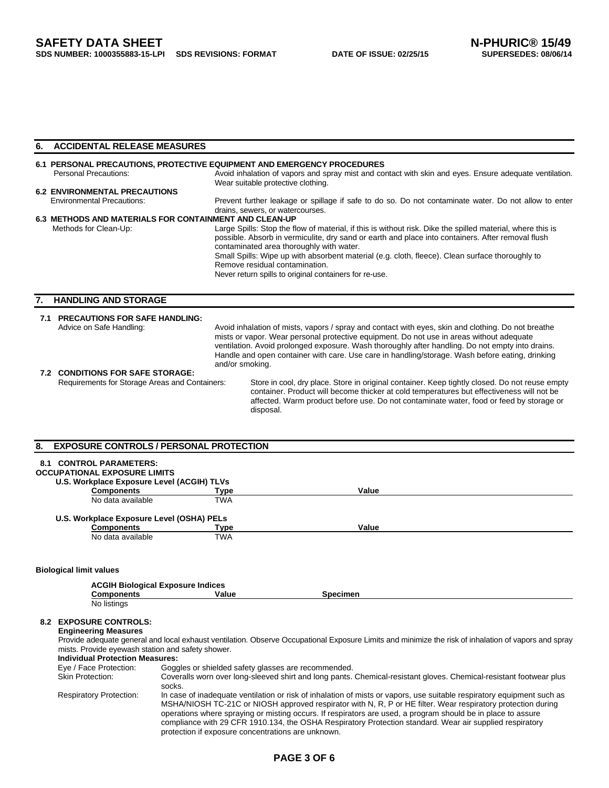# **6. ACCIDENTAL RELEASE MEASURES**

|                       | 6.1 PERSONAL PRECAUTIONS, PROTECTIVE EQUIPMENT AND EMERGENCY PROCEDURES<br>Personal Precautions:<br>Avoid inhalation of vapors and spray mist and contact with skin and eyes. Ensure adequate ventilation.<br>Wear suitable protective clothing. |                                                                                                                                                                                                                                                                                                                                                                                                                                                            |  |  |
|-----------------------|--------------------------------------------------------------------------------------------------------------------------------------------------------------------------------------------------------------------------------------------------|------------------------------------------------------------------------------------------------------------------------------------------------------------------------------------------------------------------------------------------------------------------------------------------------------------------------------------------------------------------------------------------------------------------------------------------------------------|--|--|
|                       | <b>6.2 ENVIRONMENTAL PRECAUTIONS</b>                                                                                                                                                                                                             |                                                                                                                                                                                                                                                                                                                                                                                                                                                            |  |  |
|                       | <b>Environmental Precautions:</b>                                                                                                                                                                                                                | Prevent further leakage or spillage if safe to do so. Do not contaminate water. Do not allow to enter<br>drains, sewers, or watercourses.                                                                                                                                                                                                                                                                                                                  |  |  |
|                       | 6.3 METHODS AND MATERIALS FOR CONTAINMENT AND CLEAN-UP                                                                                                                                                                                           |                                                                                                                                                                                                                                                                                                                                                                                                                                                            |  |  |
| Methods for Clean-Up: |                                                                                                                                                                                                                                                  | Large Spills: Stop the flow of material, if this is without risk. Dike the spilled material, where this is<br>possible. Absorb in vermiculite, dry sand or earth and place into containers. After removal flush<br>contaminated area thoroughly with water.<br>Small Spills: Wipe up with absorbent material (e.g. cloth, fleece). Clean surface thoroughly to<br>Remove residual contamination.<br>Never return spills to original containers for re-use. |  |  |
| 7.                    | <b>HANDLING AND STORAGE</b>                                                                                                                                                                                                                      |                                                                                                                                                                                                                                                                                                                                                                                                                                                            |  |  |
| 7.1                   | <b>PRECAUTIONS FOR SAFE HANDLING:</b>                                                                                                                                                                                                            |                                                                                                                                                                                                                                                                                                                                                                                                                                                            |  |  |
|                       | Advice on Safe Handling:                                                                                                                                                                                                                         | Avoid inhalation of mists, vapors / spray and contact with eyes, skin and clothing. Do not breathe<br>mists or vapor. Wear personal protective equipment. Do not use in areas without adequate<br>ventilation. Avoid prolonged exposure. Wash thoroughly after handling. Do not empty into drains.<br>Handle and open container with care. Use care in handling/storage. Wash before eating, drinking<br>and/or smoking.                                   |  |  |
|                       | <b>7.2 CONDITIONS FOR SAFE STORAGE:</b>                                                                                                                                                                                                          |                                                                                                                                                                                                                                                                                                                                                                                                                                                            |  |  |
|                       | Requirements for Storage Areas and Containers:                                                                                                                                                                                                   | Store in cool, dry place. Store in original container. Keep tightly closed. Do not reuse empty<br>container. Product will become thicker at cold temperatures but effectiveness will not be<br>affected. Warm product before use. Do not contaminate water, food or feed by storage or<br>disposal.                                                                                                                                                        |  |  |

# **8. EXPOSURE CONTROLS / PERSONAL PROTECTION**

| <b>CONTROL PARAMETERS:</b><br>8.1<br><b>OCCUPATIONAL EXPOSURE LIMITS</b> |             |       |  |
|--------------------------------------------------------------------------|-------------|-------|--|
| U.S. Workplace Exposure Level (ACGIH) TLVs                               |             |       |  |
| <b>Components</b>                                                        | Type        | Value |  |
| No data available                                                        | TWA         |       |  |
| U.S. Workplace Exposure Level (OSHA) PELs                                |             |       |  |
| <b>Components</b>                                                        | <b>Type</b> | Value |  |
| No data available                                                        | TWA         |       |  |
|                                                                          |             |       |  |

# **Biological limit values**

|             | <b>ACGIH Biological Exposure Indices</b> |          |  |
|-------------|------------------------------------------|----------|--|
| Components  | Value                                    | Specimen |  |
| No listings |                                          |          |  |

# **8.2 EXPOSURE CONTROLS:**

**Engineering Measures** 

Provide adequate general and local exhaust ventilation. Observe Occupational Exposure Limits and minimize the risk of inhalation of vapors and spray mists. Provide eyewash station and safety shower.

**Individual Protection Measures:**<br>Eye / Face Protection: Gogg **Goggles or shielded safety glasses are recommended.** Skin Protection: Coveralls worn over long-sleeved shirt and long pants. Chemical-resistant gloves. Chemical-resistant footwear plus socks. Respiratory Protection: In case of inadequate ventilation or risk of inhalation of mists or vapors, use suitable respiratory equipment such as MSHA/NIOSH TC-21C or NIOSH approved respirator with N, R, P or HE filter. Wear respiratory protection during operations where spraying or misting occurs. If respirators are used, a program should be in place to assure compliance with 29 CFR 1910.134, the OSHA Respiratory Protection standard. Wear air supplied respiratory protection if exposure concentrations are unknown.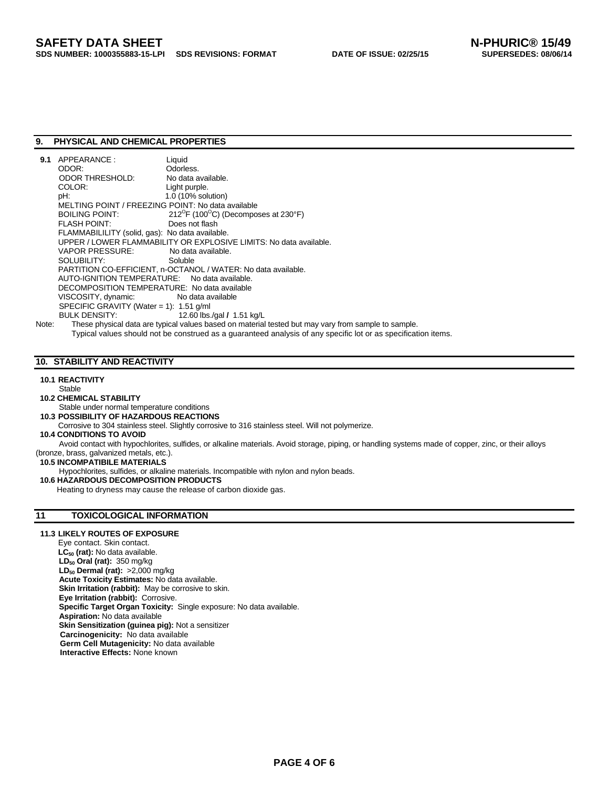## **9. PHYSICAL AND CHEMICAL PROPERTIES**

| 9.1   | APPEARANCE:                                                                                                     | Liquid                                                                                                         |  |
|-------|-----------------------------------------------------------------------------------------------------------------|----------------------------------------------------------------------------------------------------------------|--|
|       | ODOR:                                                                                                           | Odorless.                                                                                                      |  |
|       | ODOR THRESHOLD:                                                                                                 | No data available.                                                                                             |  |
|       | COLOR:                                                                                                          | Light purple.                                                                                                  |  |
|       | pH:                                                                                                             | 1.0 (10% solution)                                                                                             |  |
|       | MELTING POINT / FREEZING POINT: No data available                                                               |                                                                                                                |  |
|       | BOILING POINT:                                                                                                  | 212 <sup>°</sup> F (100 <sup>°</sup> C) (Decomposes at 230 <sup>°</sup> F)                                     |  |
|       | FLASH POINT:                                                                                                    | Does not flash                                                                                                 |  |
|       | FLAMMABILILITY (solid, gas): No data available.                                                                 |                                                                                                                |  |
|       |                                                                                                                 | UPPER / LOWER FLAMMABILITY OR EXPLOSIVE LIMITS: No data available.                                             |  |
|       | VAPOR PRESSURE:                                                                                                 | No data available.                                                                                             |  |
|       | SOLUBILITY:                                                                                                     | Soluble                                                                                                        |  |
|       |                                                                                                                 | PARTITION CO-EFFICIENT, n-OCTANOL / WATER: No data available.                                                  |  |
|       | AUTO-IGNITION TEMPERATURE: No data available.                                                                   |                                                                                                                |  |
|       | DECOMPOSITION TEMPERATURE: No data available                                                                    |                                                                                                                |  |
|       | VISCOSITY, dynamic: No data available                                                                           |                                                                                                                |  |
|       | SPECIFIC GRAVITY (Water = 1): $1.51$ g/ml                                                                       |                                                                                                                |  |
|       | BULK DENSITY: NORTH THE SALE OF THE STATE OF THE STATE OF THE STATE OF THE STATE OF THE STATE OF THE STATE OF T | 12.60 lbs./gal / 1.51 kg/L                                                                                     |  |
| Note: |                                                                                                                 | These physical data are typical values based on material tested but may vary from sample to sample.            |  |
|       |                                                                                                                 | Typical values should not be construed as a guaranteed analysis of any specific lot or as specification items. |  |

# **10. STABILITY AND REACTIVITY**

#### **10.1 REACTIVITY**

# Stable

#### **10.2 CHEMICAL STABILITY**

- Stable under normal temperature conditions
- **10.3 POSSIBILITY OF HAZARDOUS REACTIONS**

Corrosive to 304 stainless steel. Slightly corrosive to 316 stainless steel. Will not polymerize.

# **10.4 CONDITIONS TO AVOID**

 Avoid contact with hypochlorites, sulfides, or alkaline materials. Avoid storage, piping, or handling systems made of copper, zinc, or their alloys (bronze, brass, galvanized metals, etc.).

#### **10.5 INCOMPATIBILE MATERIALS**

Hypochlorites, sulfides, or alkaline materials. Incompatible with nylon and nylon beads.

# **10.6 HAZARDOUS DECOMPOSITION PRODUCTS**

Heating to dryness may cause the release of carbon dioxide gas.

# **11 TOXICOLOGICAL INFORMATION**

# **11.3 LIKELY ROUTES OF EXPOSURE**

Eye contact. Skin contact. LC<sub>50</sub> (rat): No data available. **LD<sub>50</sub> Oral (rat): 350 mg/kg LD<sub>50</sub> Dermal (rat):** >2,000 mg/kg **Acute Toxicity Estimates:** No data available. **Skin Irritation (rabbit):** May be corrosive to skin.  **Eye Irritation (rabbit):** Corrosive.  **Specific Target Organ Toxicity:** Single exposure: No data available. **Aspiration:** No data available **Skin Sensitization (guinea pig):** Not a sensitizer  **Carcinogenicity:** No data available **Germ Cell Mutagenicity:** No data available **Interactive Effects:** None known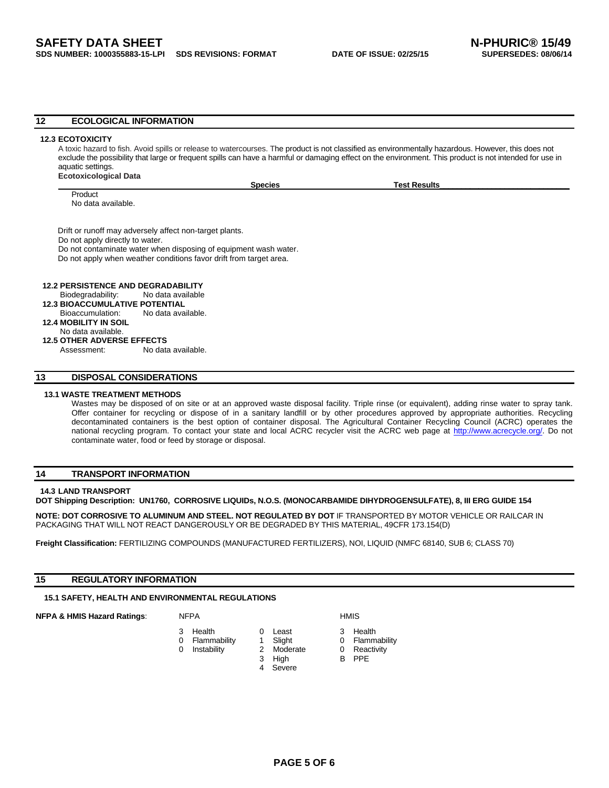# **12 ECOLOGICAL INFORMATION**

#### **12.3 ECOTOXICITY**

A toxic hazard to fish. Avoid spills or release to watercourses. The product is not classified as environmentally hazardous. However, this does not exclude the possibility that large or frequent spills can have a harmful or damaging effect on the environment. This product is not intended for use in aquatic settings.

#### **Ecotoxicological Data Species Test Results\_\_\_\_\_\_\_\_\_\_\_\_\_\_\_\_\_\_\_\_\_\_\_\_\_\_\_\_\_\_**

**Product** 

No data available.

Drift or runoff may adversely affect non-target plants.

Do not apply directly to water.

Do not contaminate water when disposing of equipment wash water. Do not apply when weather conditions favor drift from target area.

# **12.2 PERSISTENCE AND DEGRADABILITY**

**No data available** 

# **12.3 BIOACCUMULATIVE POTENTIAL**

 Bioaccumulation: No data available. **12.4 MOBILITY IN SOIL**

No data available.

# **12.5 OTHER ADVERSE EFFECTS**

Assessment: No data available.

# **13 DISPOSAL CONSIDERATIONS**

#### **13.1 WASTE TREATMENT METHODS**

Wastes may be disposed of on site or at an approved waste disposal facility. Triple rinse (or equivalent), adding rinse water to spray tank. Offer container for recycling or dispose of in a sanitary landfill or by other procedures approved by appropriate authorities. Recycling decontaminated containers is the best option of container disposal. The Agricultural Container Recycling Council (ACRC) operates the national recycling program. To contact your state and local ACRC recycler visit the ACRC web page at http://www.acrecycle.org/. Do not contaminate water, food or feed by storage or disposal.

# **14 TRANSPORT INFORMATION**

# **14.3 LAND TRANSPORT**

**DOT Shipping Description: UN1760, CORROSIVE LIQUIDs, N.O.S. (MONOCARBAMIDE DIHYDROGENSULFATE), 8, III ERG GUIDE 154**

**NOTE: DOT CORROSIVE TO ALUMINUM AND STEEL. NOT REGULATED BY DOT** IF TRANSPORTED BY MOTOR VEHICLE OR RAILCAR IN PACKAGING THAT WILL NOT REACT DANGEROUSLY OR BE DEGRADED BY THIS MATERIAL, 49CFR 173.154(D)

**Freight Classification:** FERTILIZING COMPOUNDS (MANUFACTURED FERTILIZERS), NOI, LIQUID (NMFC 68140, SUB 6; CLASS 70)

# **15 REGULATORY INFORMATION**

# **15.1 SAFETY, HEALTH AND ENVIRONMENTAL REGULATIONS**

**NFPA & HMIS Hazard Ratings: NEPA HTMIS HOTMAN HAMIS** 

- 
- 3 Health 0 Least 3 Health
	- **Instability** 
		- - 4 Severe
- 
- 
- 0 Flammability 1 Slight 0 Flammability<br>0 Instability 2 Moderate 0 Reactivity
- 3 High B PPE